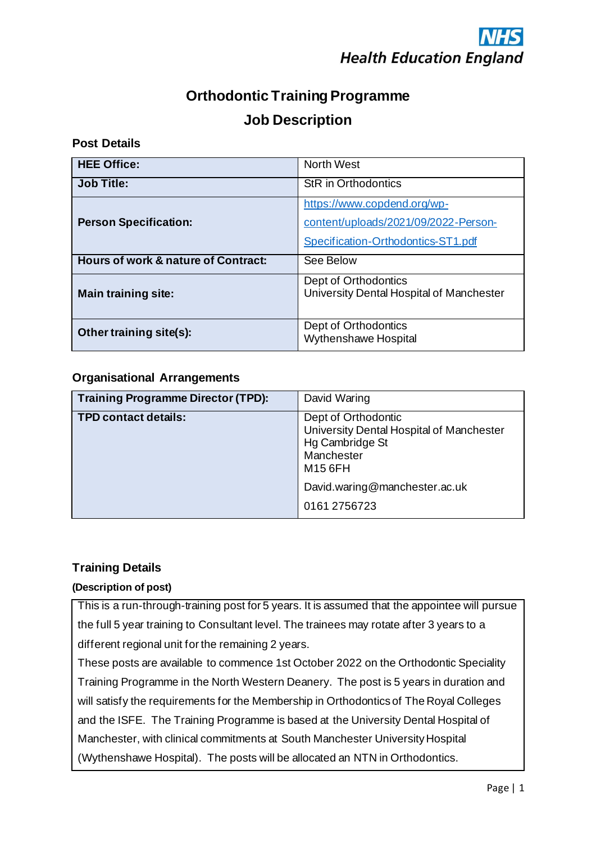## **Orthodontic Training Programme Job Description**

## **Post Details**

| <b>HEE Office:</b>                             | <b>North West</b>                                                                                         |  |
|------------------------------------------------|-----------------------------------------------------------------------------------------------------------|--|
| <b>Job Title:</b>                              | <b>StR</b> in Orthodontics                                                                                |  |
| <b>Person Specification:</b>                   | https://www.copdend.org/wp-<br>content/uploads/2021/09/2022-Person-<br>Specification-Orthodontics-ST1.pdf |  |
| <b>Hours of work &amp; nature of Contract:</b> | See Below                                                                                                 |  |
| <b>Main training site:</b>                     | Dept of Orthodontics<br>University Dental Hospital of Manchester                                          |  |
| Other training site(s):                        | Dept of Orthodontics<br>Wythenshawe Hospital                                                              |  |

## **Organisational Arrangements**

| <b>Training Programme Director (TPD):</b> | David Waring                                                                                                |  |
|-------------------------------------------|-------------------------------------------------------------------------------------------------------------|--|
| <b>TPD contact details:</b>               | Dept of Orthodontic<br>University Dental Hospital of Manchester<br>Hg Cambridge St<br>Manchester<br>M15 6FH |  |
|                                           | David.waring@manchester.ac.uk                                                                               |  |
|                                           | 0161 2756723                                                                                                |  |

## **Training Details**

## **(Description of post)**

This is a run-through-training post for 5 years. It is assumed that the appointee will pursue the full 5 year training to Consultant level. The trainees may rotate after 3 years to a different regional unit for the remaining 2 years.

These posts are available to commence 1st October 2022 on the Orthodontic Speciality Training Programme in the North Western Deanery. The post is 5 years in duration and will satisfy the requirements for the Membership in Orthodontics of The Royal Colleges and the ISFE. The Training Programme is based at the University Dental Hospital of Manchester, with clinical commitments at South Manchester University Hospital (Wythenshawe Hospital). The posts will be allocated an NTN in Orthodontics.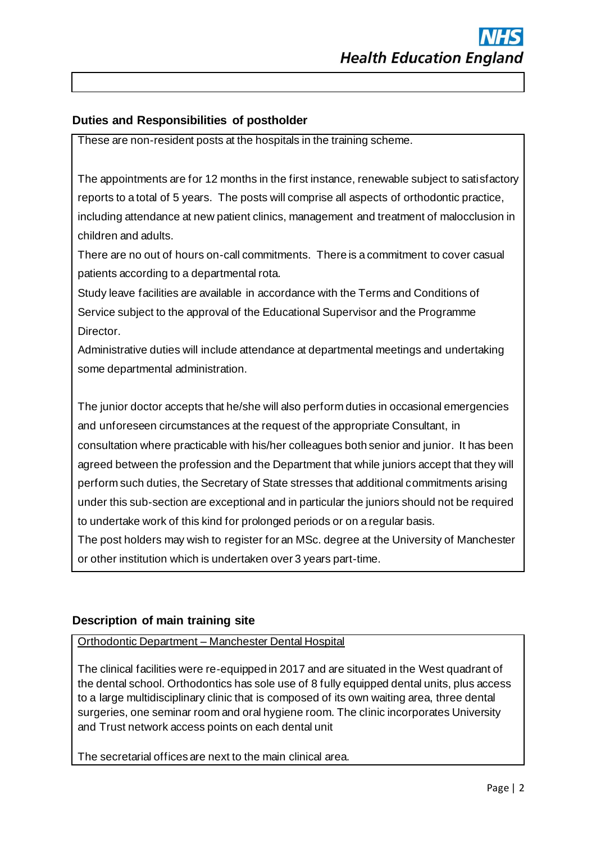## **Duties and Responsibilities of postholder**

These are non-resident posts at the hospitals in the training scheme.

The appointments are for 12 months in the first instance, renewable subject to satisfactory reports to a total of 5 years. The posts will comprise all aspects of orthodontic practice, including attendance at new patient clinics, management and treatment of malocclusion in children and adults.

There are no out of hours on-call commitments. There is a commitment to cover casual patients according to a departmental rota.

Study leave facilities are available in accordance with the Terms and Conditions of Service subject to the approval of the Educational Supervisor and the Programme Director.

Administrative duties will include attendance at departmental meetings and undertaking some departmental administration.

The junior doctor accepts that he/she will also perform duties in occasional emergencies and unforeseen circumstances at the request of the appropriate Consultant, in consultation where practicable with his/her colleagues both senior and junior. It has been agreed between the profession and the Department that while juniors accept that they will perform such duties, the Secretary of State stresses that additional commitments arising under this sub-section are exceptional and in particular the juniors should not be required to undertake work of this kind for prolonged periods or on a regular basis.

The post holders may wish to register for an MSc. degree at the University of Manchester or other institution which is undertaken over 3 years part-time.

## **Description of main training site**

Orthodontic Department – Manchester Dental Hospital

The clinical facilities were re-equipped in 2017 and are situated in the West quadrant of the dental school. Orthodontics has sole use of 8 fully equipped dental units, plus access to a large multidisciplinary clinic that is composed of its own waiting area, three dental surgeries, one seminar room and oral hygiene room. The clinic incorporates University and Trust network access points on each dental unit

The secretarial offices are next to the main clinical area.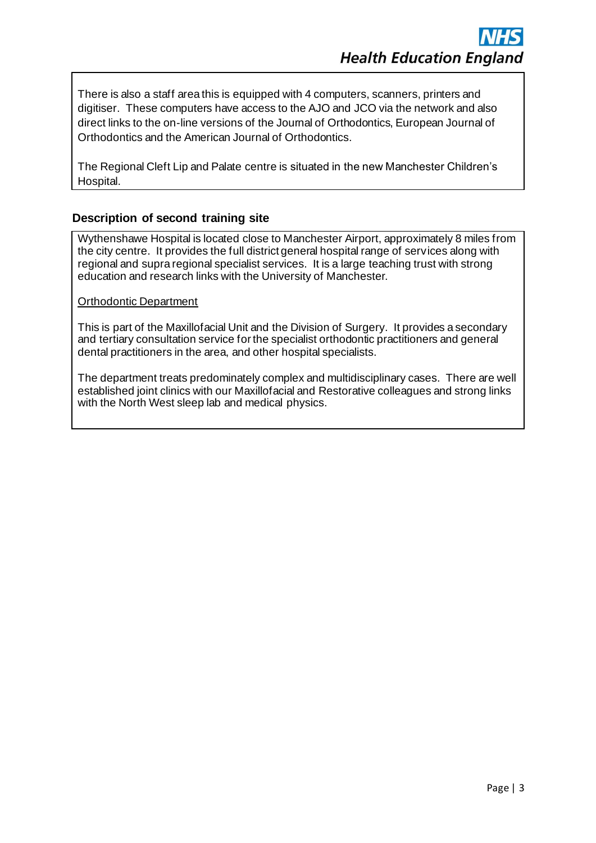There is also a staff area this is equipped with 4 computers, scanners, printers and digitiser. These computers have access to the AJO and JCO via the network and also direct links to the on-line versions of the Journal of Orthodontics, European Journal of Orthodontics and the American Journal of Orthodontics.

The Regional Cleft Lip and Palate centre is situated in the new Manchester Children's Hospital.

## **Description of second training site**

Wythenshawe Hospital is located close to Manchester Airport, approximately 8 miles from the city centre. It provides the full district general hospital range of services along with regional and supra regional specialist services. It is a large teaching trust with strong education and research links with the University of Manchester.

### Orthodontic Department

This is part of the Maxillofacial Unit and the Division of Surgery. It provides a secondary and tertiary consultation service for the specialist orthodontic practitioners and general dental practitioners in the area, and other hospital specialists.

The department treats predominately complex and multidisciplinary cases. There are well established joint clinics with our Maxillofacial and Restorative colleagues and strong links with the North West sleep lab and medical physics.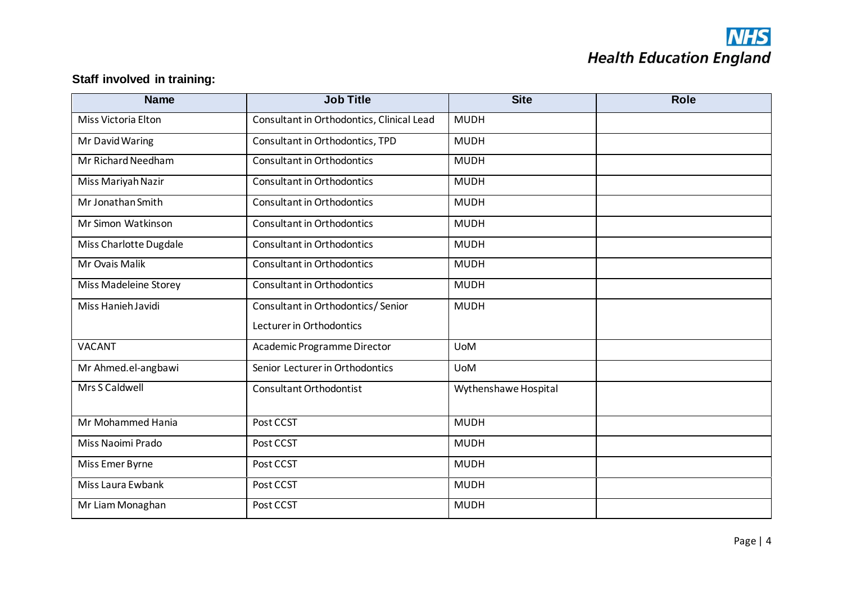# **NHS**<br>Health Education England

## **Staff involved in training:**

| <b>Job Title</b><br><b>Name</b> |                                                  | <b>Site</b>          | <b>Role</b> |
|---------------------------------|--------------------------------------------------|----------------------|-------------|
| Miss Victoria Elton             | Consultant in Orthodontics, Clinical Lead        | <b>MUDH</b>          |             |
| Mr David Waring                 | Consultant in Orthodontics, TPD                  | <b>MUDH</b>          |             |
| Mr Richard Needham              | <b>Consultant in Orthodontics</b>                | <b>MUDH</b>          |             |
| Miss Mariyah Nazir              | <b>Consultant in Orthodontics</b>                | <b>MUDH</b>          |             |
| Mr Jonathan Smith               | <b>Consultant in Orthodontics</b>                | <b>MUDH</b>          |             |
| Mr Simon Watkinson              | <b>Consultant in Orthodontics</b><br><b>MUDH</b> |                      |             |
| Miss Charlotte Dugdale          | <b>Consultant in Orthodontics</b>                | <b>MUDH</b>          |             |
| Mr Ovais Malik                  | Consultant in Orthodontics                       | <b>MUDH</b>          |             |
| Miss Madeleine Storey           | <b>Consultant in Orthodontics</b>                | <b>MUDH</b>          |             |
| Miss Hanieh Javidi              | Consultant in Orthodontics/Senior                | <b>MUDH</b>          |             |
|                                 | Lecturer in Orthodontics                         |                      |             |
| <b>VACANT</b>                   | Academic Programme Director                      | <b>UoM</b>           |             |
| Mr Ahmed.el-angbawi             | Senior Lecturer in Orthodontics                  | <b>UoM</b>           |             |
| Mrs S Caldwell                  | <b>Consultant Orthodontist</b>                   | Wythenshawe Hospital |             |
|                                 |                                                  |                      |             |
| Mr Mohammed Hania               | Post CCST                                        | <b>MUDH</b>          |             |
| Miss Naoimi Prado               | Post CCST                                        | <b>MUDH</b>          |             |
| Miss Emer Byrne                 | Post CCST                                        | <b>MUDH</b>          |             |
| Miss Laura Ewbank               | Post CCST                                        | <b>MUDH</b>          |             |
| Mr Liam Monaghan                | Post CCST                                        | <b>MUDH</b>          |             |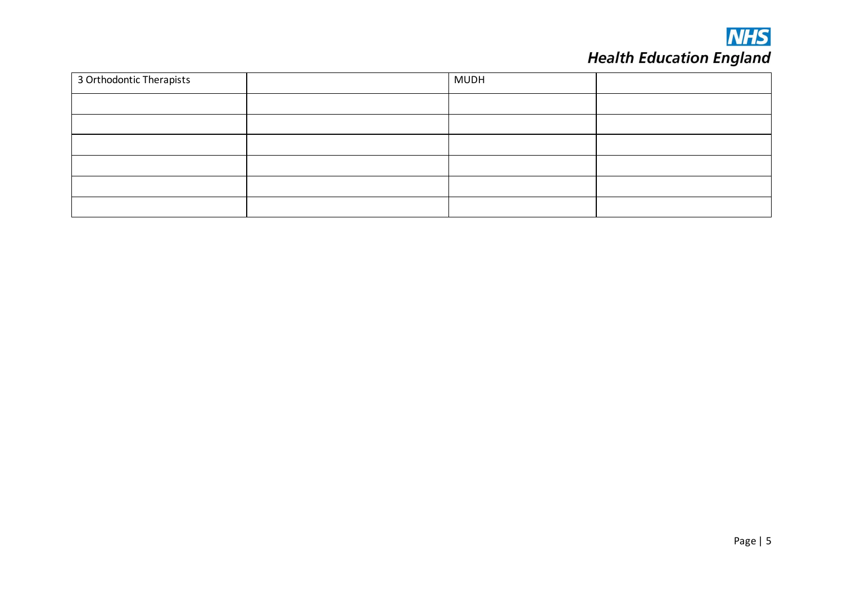

# **NHS**<br>Health Education England

| 3 Orthodontic Therapists | <b>MUDH</b> |  |
|--------------------------|-------------|--|
|                          |             |  |
|                          |             |  |
|                          |             |  |
|                          |             |  |
|                          |             |  |
|                          |             |  |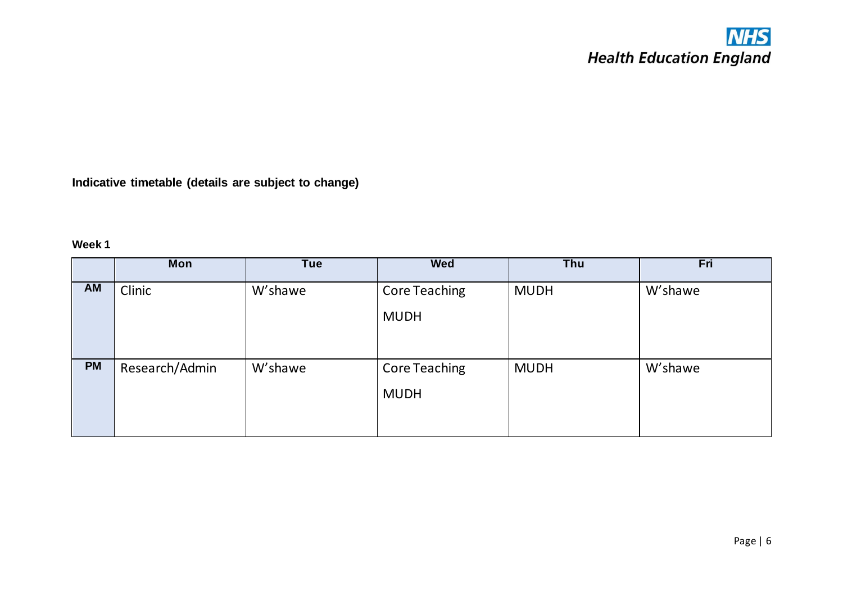## **NHS**<br>Health Education England

**Indicative timetable (details are subject to change)**

## **Week 1**

|           | Mon            | <b>Tue</b> | <b>Wed</b>                          | Thu         | Fri     |
|-----------|----------------|------------|-------------------------------------|-------------|---------|
| AM        | Clinic         | W'shawe    | <b>Core Teaching</b><br><b>MUDH</b> | <b>MUDH</b> | W'shawe |
| <b>PM</b> | Research/Admin | W'shawe    | <b>Core Teaching</b><br><b>MUDH</b> | <b>MUDH</b> | W'shawe |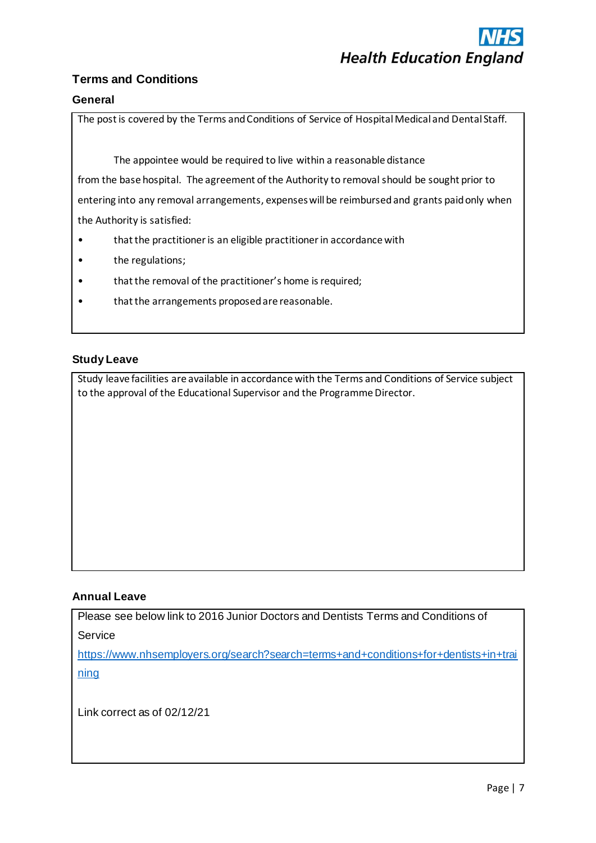## **Terms and Conditions**

### **General**

The post is covered by the Terms and Conditions of Service of Hospital Medical and Dental Staff.

The appointee would be required to live within a reasonable distance

from the base hospital. The agreement of the Authority to removal should be sought prior to entering into any removal arrangements, expenses will be reimbursed and grants paid only when the Authority is satisfied:

- that the practitioner is an eligible practitioner in accordance with
- the regulations;
- that the removal of the practitioner's home is required;
- that the arrangements proposed are reasonable.

### **Study Leave**

Study leave facilities are available in accordance with the Terms and Conditions of Service subject to the approval of the Educational Supervisor and the Programme Director.

#### **Annual Leave**

Please see below link to 2016 Junior Doctors and Dentists Terms and Conditions of Service

[https://www.nhsemployers.org/search?search=terms+and+conditions+for+dentists+in+trai](https://www.nhsemployers.org/search?search=terms+and+conditions+for+dentists+in+training) [ning](https://www.nhsemployers.org/search?search=terms+and+conditions+for+dentists+in+training)

Link correct as of 02/12/21